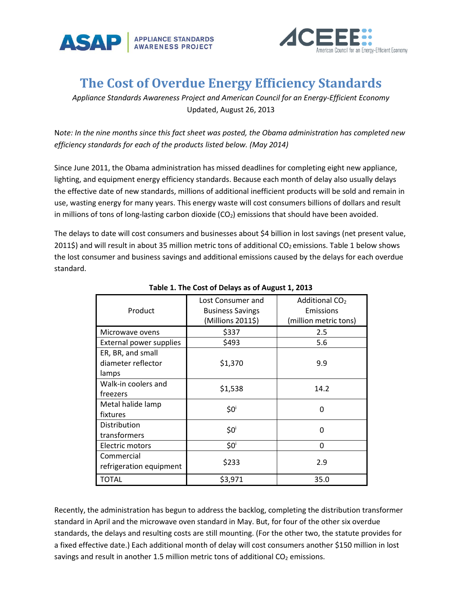



## **The Cost of Overdue Energy Efficiency Standards**

*Appliance Standards Awareness Project and American Council for an Energy-Efficient Economy* Updated, August 26, 2013

N*ote: In the nine months since this fact sheet was posted, the Obama administration has completed new efficiency standards for each of the products listed below. (May 2014)*

Since June 2011, the Obama administration has missed deadlines for completing eight new appliance, lighting, and equipment energy efficiency standards. Because each month of delay also usually delays the effective date of new standards, millions of additional inefficient products will be sold and remain in use, wasting energy for many years. This energy waste will cost consumers billions of dollars and result in millions of tons of long-lasting carbon dioxide  $(CO<sub>2</sub>)$  emissions that should have been avoided.

The delays to date will cost consumers and businesses about \$4 billion in lost savings (net present value, 2011\$) and will result in about 35 million metric tons of additional CO<sub>2</sub> emissions. Table 1 below shows the lost consumer and business savings and additional emissions caused by the delays for each overdue standard.

| Product                                          | Lost Consumer and<br><b>Business Savings</b><br>(Millions 2011\$) | Additional CO <sub>2</sub><br>Emissions<br>(million metric tons) |
|--------------------------------------------------|-------------------------------------------------------------------|------------------------------------------------------------------|
| Microwave ovens                                  | \$337                                                             | 2.5                                                              |
| External power supplies                          | \$493                                                             | 5.6                                                              |
| ER, BR, and small<br>diameter reflector<br>lamps | \$1,370                                                           | 9.9                                                              |
| Walk-in coolers and<br>freezers                  | \$1,538                                                           | 14.2                                                             |
| Metal halide lamp<br>fixtures                    | \$0 <sup>i</sup>                                                  | 0                                                                |
| Distribution<br>transformers                     | $$0^{\text{i}}$                                                   | 0                                                                |
| Electric motors                                  | \$0 <sup>i</sup>                                                  | 0                                                                |
| Commercial<br>refrigeration equipment            | \$233                                                             | 2.9                                                              |
| <b>TOTAL</b>                                     | \$3,971                                                           | 35.0                                                             |

## **Table 1. The Cost of Delays as of August 1, 2013**

Recently, the administration has begun to address the backlog, completing the distribution transformer standard in April and the microwave oven standard in May. But, for four of the other six overdue standards, the delays and resulting costs are still mounting. (For the other two, the statute provides for a fixed effective date.) Each additional month of delay will cost consumers another \$150 million in lost savings and result in another 1.5 million metric tons of additional  $CO<sub>2</sub>$  emissions.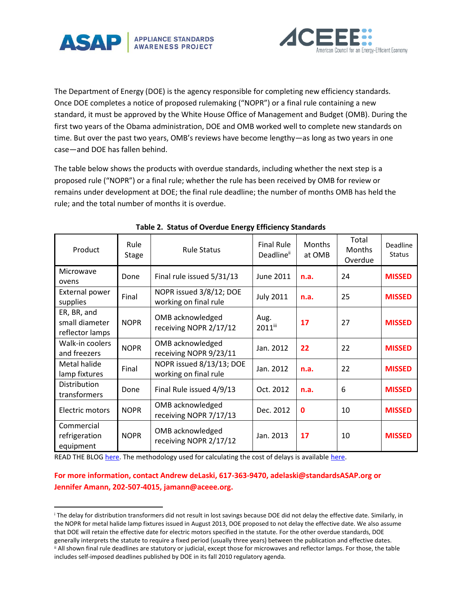



The Department of Energy (DOE) is the agency responsible for completing new efficiency standards. Once DOE completes a notice of proposed rulemaking ("NOPR") or a final rule containing a new standard, it must be approved by the White House Office of Management and Budget (OMB). During the first two years of the Obama administration, DOE and OMB worked well to complete new standards on time. But over the past two years, OMB's reviews have become lengthy—as long as two years in one case—and DOE has fallen behind.

The table below shows the products with overdue standards, including whether the next step is a proposed rule ("NOPR") or a final rule; whether the rule has been received by OMB for review or remains under development at DOE; the final rule deadline; the number of months OMB has held the rule; and the total number of months it is overdue.

| Product                                          | Rule<br><b>Stage</b> | <b>Rule Status</b>                                | <b>Final Rule</b><br>Deadlineii | <b>Months</b><br>at OMB | Total<br><b>Months</b><br>Overdue | Deadline<br><b>Status</b> |
|--------------------------------------------------|----------------------|---------------------------------------------------|---------------------------------|-------------------------|-----------------------------------|---------------------------|
| Microwave<br>ovens                               | Done                 | Final rule issued 5/31/13                         | June 2011                       | n.a.                    | 24                                | <b>MISSED</b>             |
| External power<br>supplies                       | Final                | NOPR issued 3/8/12; DOE<br>working on final rule  | <b>July 2011</b>                | n.a.                    | 25                                | <b>MISSED</b>             |
| ER, BR, and<br>small diameter<br>reflector lamps | <b>NOPR</b>          | OMB acknowledged<br>receiving NOPR 2/17/12        | Aug.<br>2011iii                 | 17                      | 27                                | <b>MISSED</b>             |
| Walk-in coolers<br>and freezers                  | <b>NOPR</b>          | OMB acknowledged<br>receiving NOPR 9/23/11        | Jan. 2012                       | 22                      | 22                                | <b>MISSED</b>             |
| Metal halide<br>lamp fixtures                    | Final                | NOPR issued 8/13/13; DOE<br>working on final rule | Jan. 2012                       | n.a.                    | 22                                | <b>MISSED</b>             |
| Distribution<br>transformers                     | Done                 | Final Rule issued 4/9/13                          | Oct. 2012                       | n.a.                    | 6                                 | <b>MISSED</b>             |
| Electric motors                                  | <b>NOPR</b>          | OMB acknowledged<br>receiving NOPR 7/17/13        | Dec. 2012                       | $\mathbf{0}$            | 10                                | <b>MISSED</b>             |
| Commercial<br>refrigeration<br>equipment         | <b>NOPR</b>          | OMB acknowledged<br>receiving NOPR 2/17/12        | Jan. 2013                       | 17                      | 10                                | <b>MISSED</b>             |

## **Table 2. Status of Overdue Energy Efficiency Standards**

READ THE BLO[G here.](http://www.appliance-standards.org/blog/lost-savings-obamas-delay-new-energy-saving-standards-37-billion) The methodology used for calculating the cost of delays is availabl[e here.](http://www.appliance-standards.org/sites/default/files/Cost_of_Delays_Methodology_August_2013_0.pdf)

 $\overline{\phantom{a}}$ 

## **For more information, contact Andrew deLaski, 617-363-9470, [adelaski@standardsASAP.org](mailto:adelaski@standardsASAP.org) or Jennifer Amann, 202-507-4015, [jamann@aceee.org.](mailto:jamann@aceee.org)**

<sup>i</sup> The delay for distribution transformers did not result in lost savings because DOE did not delay the effective date. Similarly, in the NOPR for metal halide lamp fixtures issued in August 2013, DOE proposed to not delay the effective date. We also assume that DOE will retain the effective date for electric motors specified in the statute. For the other overdue standards, DOE generally interprets the statute to require a fixed period (usually three years) between the publication and effective dates. ii All shown final rule deadlines are statutory or judicial, except those for microwaves and reflector lamps. For those, the table includes self-imposed deadlines published by DOE in its fall 2010 regulatory agenda.